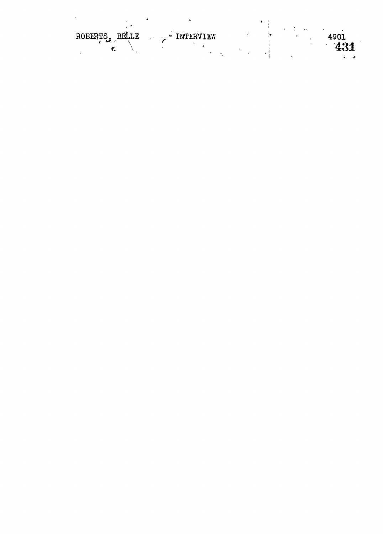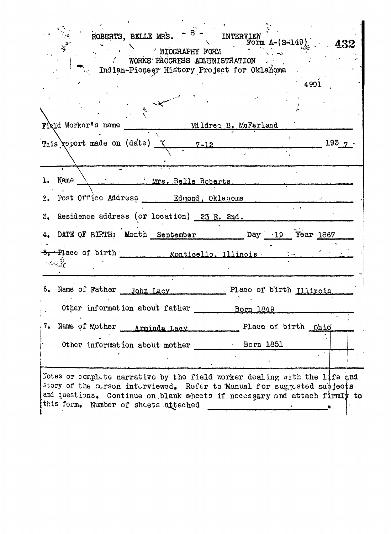| ROBERTS, BELLE MRS. $-$ 8 $-$ INTERVIEW<br>Form A- $(S-149)$ 432<br>$z_{\vec{k}}$<br>$\rightarrow$ BIOGRAPHY FORM<br>WORKS FROGRESS ADMINISTRATION<br>Indian-Pioneer History Project for Oklahoma                                                                         |
|---------------------------------------------------------------------------------------------------------------------------------------------------------------------------------------------------------------------------------------------------------------------------|
| 4901                                                                                                                                                                                                                                                                      |
| $\tilde{\mathcal{C}}$<br>Field Workor's name                                                                                                                                                                                                                              |
| Mildrea B. McFarland                                                                                                                                                                                                                                                      |
| This report made on (date) x 7-12<br>193 <sub>7</sub>                                                                                                                                                                                                                     |
| Name<br>Mrs. Belle Roberts                                                                                                                                                                                                                                                |
| $\overline{2}$ .                                                                                                                                                                                                                                                          |
| 3. Residence address (or location) 23 E. 2nd.                                                                                                                                                                                                                             |
| 4. DATE OF BIRTH: Month September Day 19 Year 1867                                                                                                                                                                                                                        |
| 5. Place of birth Monticello, Illinois<br>ا بازیگر با پایا بازیگر در این<br>موالید                                                                                                                                                                                        |
| 6. Name of Father John Lacy Place of birth Illinois                                                                                                                                                                                                                       |
| Other information about father<br>Born 1849                                                                                                                                                                                                                               |
| 7.<br>Name of Mother __ Arminda Lacy<br>Place of birth Ohio                                                                                                                                                                                                               |
| Other information about mother<br>Born 1851                                                                                                                                                                                                                               |
|                                                                                                                                                                                                                                                                           |
| Notes or complete narrative by the field worker dealing with the life and<br>story of the Eurson interviewed. Refer to Manual for suggested subjects<br>and questions. Continue on blank sheets if necessary and attach firmly to<br>this form. Number of sheets attached |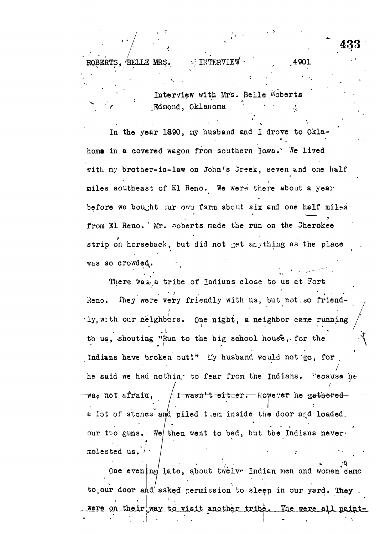ROBERTS, BELLE MRS.  $\therefore$  INTERVIEW  $\cdot$  , 4901 Interview with Mrs. Belle Hoberts *f* ,Edmond, Oklahoma *'''.% .*

433

In the year 1890, ay husband and I drove to Oklahoma in a covered wagon from southern Iowa.' We lived with my brother-in-law on John's Jreek, seven and one half miles southeast of El Reno. We were there about a year before we bought jur own farm about six and one half miles from El Reno. ' *Vx.* -oberts made the run on the Cherokee strip on horseback, but did not get anything as the place was so crowded^.

There was, a tribe of Indians close to us at Fort Reno. They were very friendly with us, but not, so friend- $\cdot$ ly<sub>o</sub>with our neighbors. One night, a neighbor came running to us, shouting "Run to the big school house, for the Indians have broken out!" Ly husband would not go, for he said we had nothing to fear from the Indians. Pecause he was not afraiq,  $^-$  / I-wasn't-either. However he gathered a for of stones and bifed them inside the door and formed? . For a set of the set of the set of the set of the set of the set of the set of the set of the set of the set of the set of the set of the set of the set of the set of the set of the set of the set of the set of the set our two guns. The then went to bed, but the Indians nevermolested us.

One even.LnKf late, about twelv- Indian men and women came to our door and asked permission to sleep in our yard. They were on their way to visit another tribe. The were all paint**f**

molested us.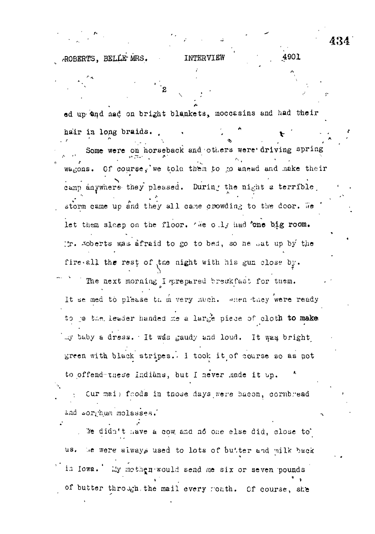4901 ROBERTS, BELLE MRS. INTERVIEW

ed up and aad on bright blankets, moccasins and had their hair in long braids. Some were on horseback and others were driving spring wagons. Of course, we told them to go anead and make their camp anywhere they pleased. During the night a terrible storm came up and they all came crowding to the door. We let them sleep on the floor. We ouly had 'one big room. In. Abberts was afraid to go to bed, so he sat up by the fire all the rest of the night with his gun close by. The next morning I prepared breakfast for them. It se med to please the mery much. when they were ready to je the leader handed me a large piece of cloth to make my buby a dress. It was gaudy and loud. It was bright green with black stripes. I took it of course so as not to offend these Indians, but I never made it up. Cur mai; foods in those days were bacon, cornbread and sorthum molasses.

We didn't have a cow and no one else did, close to us. We were always used to lots of butter and milk back in lows. My mothen would send me six or seven pounds of butter through, the mail every ronth. Of course, she